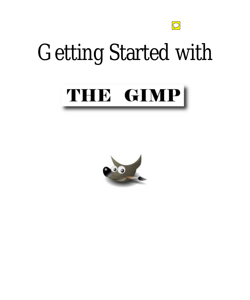

# Getting Started with

## THE GIMP

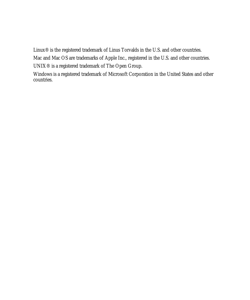Linux® is the registered trademark of Linus Torvalds in the U.S. and other countries.

Mac and Mac OS are trademarks of Apple Inc., registered in the U.S. and other countries.

UNIX® is a registered trademark of The Open Group.

Windows is a registered trademark of Microsoft Corporation in the United States and other countries.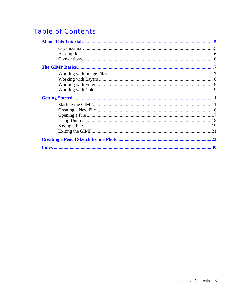## **Table of Contents**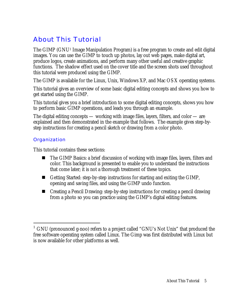## About This Tutorial

The GIMP (GNU1 Image Manipulation Program) is a free program to create and edit digital images. You can use the GIMP to touch up photos, lay out web pages, make digital art, produce logos, create animations, and perform many other useful and creative graphic functions. The shadow effect used on the cover title and the screen shots used throughout this tutorial were produced using the GIMP.

The GIMP is available for the Linux, Unix, Windows XP, and Mac OS X operating systems.

This tutorial gives an overview of some basic digital editing concepts and shows you how to get started using the GIMP.

This tutorial gives you a brief introduction to some digital editing concepts, shows you how to perform basic GIMP operations, and leads you through an example.

The digital editing concepts — working with image files, layers, filters, and color — are explained and then demonstrated in the example that follows. The example gives step-bystep instructions for creating a pencil sketch or drawing from a color photo.

#### **Organization**

 $\overline{a}$ 

This tutorial contains these sections:

- The GIMP Basics: a brief discussion of working with image files, layers, filters and color. This background is presented to enable you to understand the instructions that come later; it is not a thorough treatment of these topics.
- Getting Started: step-by-step instructions for starting and exiting the GIMP, opening and saving files, and using the GIMP undo function.
- Creating a Pencil Drawing: step-by-step instructions for creating a pencil drawing from a photo so you can practice using the GIMP's digital editing features.

<sup>1</sup> GNU (pronounced g-noo) refers to a project called "GNU's Not Unix" that produced the free software operating system called Linux. The Gimp was first distributed with Linux but is now available for other platforms as well.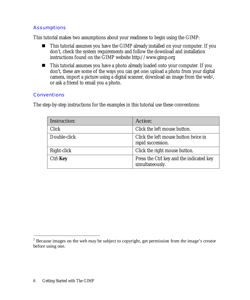#### **Assumptions**

This tutorial makes two assumptions about your readiness to begin using the GIMP:

- This tutorial assumes you have the GIMP already installed on your computer. If you don't, check the system requirements and follow the download and installation instructions found on the GIMP website http://www.gimp.org
- This tutorial assumes you have a photo already loaded onto your computer. If you don't, these are some of the ways you can get one: upload a photo from your digital camera, import a picture using a digital scanner, download an image from the web2, or ask a friend to email you a photo.

#### **Conventions**

The step-by-step instructions for the examples in this tutorial use these conventions:

| Instruction: | Action:                                                     |
|--------------|-------------------------------------------------------------|
| <b>Click</b> | Click the left mouse button.                                |
| Double-click | Click the left mouse button twice in<br>rapid succession.   |
| Right-click  | Click the right mouse button.                               |
| Ctrl-Key     | Press the Ctrl key and the indicated key<br>simultaneously. |

<sup>&</sup>lt;sup>2</sup> Because images on the web may be subject to copyright, get permission from the image's creator before using one.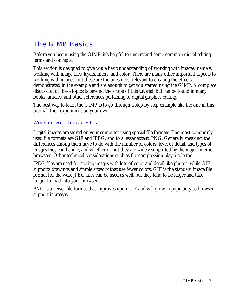## The GIMP Basics

Before you begin using the GIMP, it's helpful to understand some common digital editing terms and concepts.

This section is designed to give you a basic understanding of working with images, namely, working with image files, layers, filters, and color. There are many other important aspects to working with images, but these are the ones most relevant to creating the effects demonstrated in the example and are enough to get you started using the GIMP. A complete discussion of these topics is beyond the scope of this tutorial, but can be found in many books, articles, and other references pertaining to digital graphics editing.

The best way to learn the GIMP is to go through a step-by-step example like the one in this tutorial, then experiment on your own.

#### Working with Image Files

Digital images are stored on your computer using special file formats. The most commonly used file formats are GIF and JPEG, and to a lesser extent, PNG. Generally speaking, the differences among them have to do with the number of colors, level of detail, and types of images they can handle, and whether or not they are widely supported by the major internet browsers. Other technical considerations such as file compression play a role too.

JPEG files are used for storing images with lots of color and detail like photos, while GIF supports drawings and simple artwork that use fewer colors. GIF is the standard image file format for the web. JPEG files can be used as well, but they tend to be larger and take longer to load into your browser.

PNG is a newer file format that improves upon GIF and will grow in popularity as browser support increases.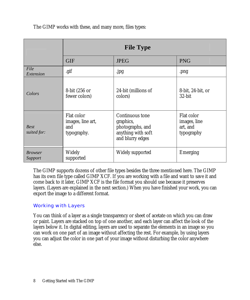The GIMP works with these, and many more, files types:

|                            | <b>File Type</b>                                      |                                                                                            |                                                      |  |  |  |
|----------------------------|-------------------------------------------------------|--------------------------------------------------------------------------------------------|------------------------------------------------------|--|--|--|
|                            | <b>GIF</b>                                            | <b>JPEG</b>                                                                                | <b>PNG</b>                                           |  |  |  |
| File<br>Extension          | .gif                                                  | .jpg                                                                                       | .png                                                 |  |  |  |
| Colors                     | 8-bit (256 or<br>fewer colors)                        | 24-bit (millions of<br>colors)                                                             | 8-bit, 24-bit, or<br>32-bit                          |  |  |  |
| <b>Best</b><br>suited for: | Flat color<br>images, line art,<br>and<br>typography. | Continuous tone<br>graphics,<br>photographs, and<br>anything with soft<br>and blurry edges | Flat color<br>images, line<br>art, and<br>typography |  |  |  |
| <i>Browser</i><br>Support  | Widely<br>supported                                   | Widely supported                                                                           | Emerging                                             |  |  |  |

The GIMP supports dozens of other file types besides the three mentioned here. The GIMP has its own file type called GIMP XCF. If you are working with a file and want to save it and come back to it later, GIMP XCF is the file format you should use because it preserves layers. (Layers are explained in the next section.) When you have finished your work, you can export the image to a different format.

#### Working with Layers

You can think of a layer as a single transparency or sheet of acetate on which you can draw or paint. Layers are stacked on top of one another, and each layer can affect the look of the layers below it. In digital editing, layers are used to separate the elements in an image so you can work on one part of an image without affecting the rest. For example, by using layers you can adjust the color in one part of your image without disturbing the color anywhere else.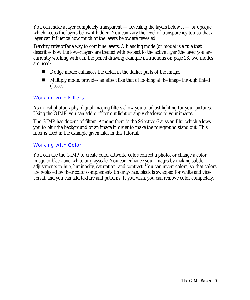You can make a layer completely transparent — revealing the layers below it — or opaque, which keeps the layers below it hidden. You can vary the level of transparency too so that a layer can influence how much of the layers below are revealed.

*Blending modes* offer a way to combine layers. A blending mode (or mode) is a rule that describes how the lower layers are treated with respect to the active layer (the layer you are currently working with). In the pencil drawing example instructions on page 23, two modes are used:

- Dodge mode: enhances the detail in the darker parts of the image.
- Multiply mode: provides an effect like that of looking at the image through tinted glasses.

#### Working with Filters

As in real photography, digital imaging filters allow you to adjust lighting for your pictures. Using the GIMP, you can add or filter out light or apply shadows to your images.

The GIMP has dozens of filters. Among them is the Selective Gaussian Blur which allows you to blur the background of an image in order to make the foreground stand out. This filter is used in the example given later in this tutorial.

#### Working with Color

You can use the GIMP to create color artwork, color-correct a photo, or change a color image to black-and-white or grayscale. You can enhance your images by making subtle adjustments to hue, luminosity, saturation, and contrast. You can invert colors, so that colors are replaced by their color complements (in grayscale, black is swapped for white and viceversa), and you can add texture and patterns. If you wish, you can remove color completely.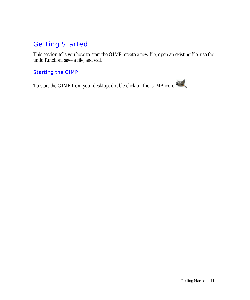## Getting Started

This section tells you how to start the GIMP, create a new file, open an existing file, use the undo function, save a file, and exit.

#### Starting the GIMP

To start the GIMP from your desktop, double-click on the GIMP icon.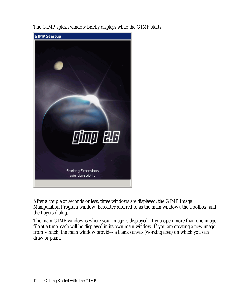The GIMP splash window briefly displays while the GIMP starts.



After a couple of seconds or less, three windows are displayed: the GIMP Image Manipulation Program window (hereafter referred to as the main window), the Toolbox, and the Layers dialog.

The main GIMP window is where your image is displayed. If you open more than one image file at a time, each will be displayed in its own main window. If you are creating a new image from scratch, the main window provides a blank canvas (working area) on which you can draw or paint.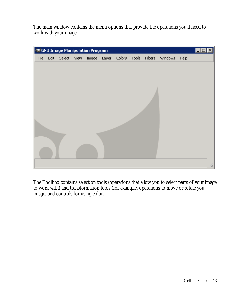The main window contains the menu options that provide the operations you'll need to work with your image.

|      |             |      | <b>GNU Image Manipulation Program</b> |       |                   |              |         |         |         | ⊠<br>$\Box$ D |
|------|-------------|------|---------------------------------------|-------|-------------------|--------------|---------|---------|---------|---------------|
| Eile | Edit Select | View | $Image$                               | Layer | $\subseteq$ olors | <b>Tools</b> | Filters | Windows | $He$ lp |               |
|      |             |      |                                       |       |                   |              |         |         |         |               |
|      |             |      |                                       |       |                   |              |         |         |         |               |
|      |             |      |                                       |       |                   |              |         |         |         |               |
|      |             |      |                                       |       |                   |              |         |         |         |               |
|      |             |      |                                       |       |                   |              |         |         |         |               |
|      |             |      |                                       |       |                   |              |         |         |         |               |
|      |             |      |                                       |       |                   |              |         |         |         |               |
|      |             |      |                                       |       |                   |              |         |         |         |               |
|      |             |      |                                       |       |                   |              |         |         |         |               |
|      |             |      |                                       |       |                   |              |         |         |         |               |
|      |             |      |                                       |       |                   |              |         |         |         |               |
|      |             |      |                                       |       |                   |              |         |         |         |               |
|      |             |      |                                       |       |                   |              |         |         |         |               |
|      |             |      |                                       |       |                   |              |         |         |         | h,            |

The Toolbox contains selection tools (operations that allow you to select parts of your image to work with) and transformation tools (for example, operations to move or rotate you image) and controls for using color.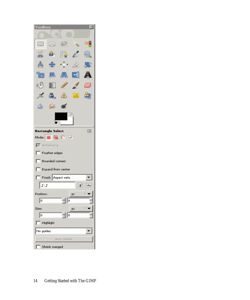| <b>Toolbox</b>            |                           |                       |    | × |
|---------------------------|---------------------------|-----------------------|----|---|
|                           |                           |                       |    |   |
| ⊡                         |                           | P                     |    | Q |
| இ                         |                           | 抱                     |    |   |
| 飍                         | ങ∯                        | ∙⊡∙                   |    |   |
| ħ                         | A 4                       |                       |    |   |
| ಗೌ                        |                           | <b>September 2000</b> |    |   |
|                           |                           | தி                    |    |   |
|                           | ∞                         |                       |    |   |
|                           |                           |                       |    |   |
|                           |                           |                       |    |   |
|                           | <b>Rectangle Select</b>   |                       |    | ▣ |
|                           | Mode: <b>No. 12</b> 13 14 |                       |    |   |
|                           | Antialiasing              |                       |    |   |
|                           | Feather edges             |                       |    |   |
|                           | Rounded corners           |                       |    |   |
|                           | Expand from center        |                       |    |   |
|                           | Fixed: Aspect ratio       |                       |    |   |
| $\llbracket t \rrbracket$ |                           |                       | F  |   |
| Position:                 |                           |                       | px |   |
| I٥                        |                           | 늭同                    |    |   |
| Size:                     |                           |                       | px |   |
| ſō                        |                           | '†∥∘                  |    |   |
| $\Box$ Highlight          |                           |                       |    |   |
| No guides                 |                           |                       |    |   |
|                           |                           | Auto Shrink           |    |   |
| ľ                         | Shrink merged             |                       |    |   |
|                           |                           |                       |    |   |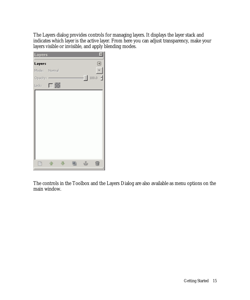The Layers dialog provides controls for managing layers. It displays the layer stack and indicates which layer is the active layer. From here you can adjust transparency, make your layers visible or invisible, and apply blending modes.

| Layers       |     |  |      | ×                     |
|--------------|-----|--|------|-----------------------|
| Layers       |     |  |      | ▣                     |
| Mode: Normal |     |  |      | ÷                     |
| Opacity: -   |     |  | - 11 | $100.0$ $\frac{1}{2}$ |
| Lock:        | - 3 |  |      |                       |
|              |     |  |      |                       |
|              |     |  |      |                       |
|              |     |  |      |                       |
|              |     |  |      |                       |
|              |     |  |      |                       |
|              |     |  |      |                       |
|              |     |  |      |                       |
|              |     |  |      |                       |
|              |     |  |      |                       |
|              |     |  |      |                       |
|              |     |  |      |                       |

The controls in the Toolbox and the Layers Dialog are also available as menu options on the main window.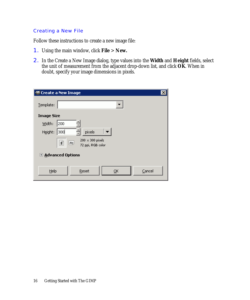#### Creating a New File

Follow these instructions to create a new image file:

- 1. Using the main window, click **File** > **New.**
- 2. In the Create a New Image dialog, type values into the **Width** and **Height** fields, select the unit of measurement from the adjacent drop-down list, and click **OK**. When in doubt, specify your image dimensions in pixels.

| 图 Create a New Image |                                                     |
|----------------------|-----------------------------------------------------|
| Template:            |                                                     |
| <b>Image Size</b>    |                                                     |
| Width:<br>200        |                                                     |
| 300<br>Height:       | pixels                                              |
|                      | $200 \times 300$ pixels<br>At.<br>72 ppi, RGB color |
| E Advanced Options   |                                                     |
| Help                 | Reset<br>Cancel<br>OK                               |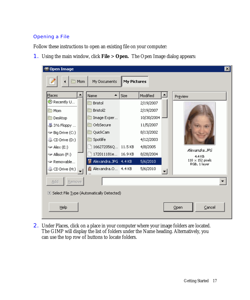#### Opening a File

Follow these instructions to open an existing file on your computer:

1. Using the main window, click **File** > **Open.** The Open Image dialog appears:



2. Under Places, click on a place in your computer where your image folders are located. The GIMP will display the list of folders under the Name heading. Alternatively, you can use the top row of buttons to locate folders.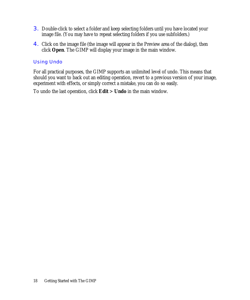- 3. Double-click to select a folder and keep selecting folders until you have located your image file. (You may have to repeat selecting folders if you use subfolders.)
- 4. Click on the image file (the image will appear in the Preview area of the dialog), then click **Open**. The GIMP will display your image in the main window.

#### Using Undo

For all practical purposes, the GIMP supports an unlimited level of undo. This means that should you want to back out an editing operation, revert to a previous version of your image, experiment with effects, or simply correct a mistake, you can do so easily.

To undo the last operation, click **Edit** > **Undo** in the main window.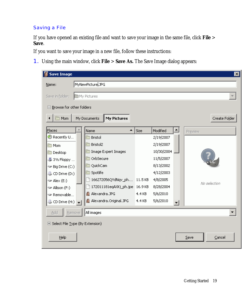#### Saving a File

If you have opened an existing file and want to save your image in the same file, click **File** > **Save**.

If you want to save your image in a new file, follow these instructions:

1. Using the main window, click **File** > **Save As.** The Save Image dialog appears:

| <b>Save Image</b>                  |                                    |                          | $\vert x \vert$ |  |  |  |  |
|------------------------------------|------------------------------------|--------------------------|-----------------|--|--|--|--|
| MyNewPicture, JPG<br>Name:         |                                    |                          |                 |  |  |  |  |
| My Pictures<br>Save in folder:     |                                    |                          |                 |  |  |  |  |
| $\Box$ Browse for other folders    |                                    |                          |                 |  |  |  |  |
| <b>Mom</b>                         | My Documents<br><b>My Pictures</b> |                          | Create Folder   |  |  |  |  |
| Places                             | ▲<br>Name                          | Modified<br>Size         | Preview         |  |  |  |  |
| Recently U                         | Bristol                            | 2/19/2007                |                 |  |  |  |  |
| <b>D</b> Mom                       | Bristol2                           | 2/19/2007                |                 |  |  |  |  |
| Desktop                            | Image Expert Images                | 10/30/2004               |                 |  |  |  |  |
| 基 3½ Floppy                        | OrbSecure                          | 11/5/2007                |                 |  |  |  |  |
| Big Drive (C:)                     | QuickCam                           | 8/13/2002                |                 |  |  |  |  |
| CD Drive (D:)                      | Spotlife                           | 4/12/2003                |                 |  |  |  |  |
| $\blacktriangleright$ Alex (E:)    | 166272056QYdNqv_ph 11.5 KB         | 4/8/2005                 | No selection    |  |  |  |  |
| Allison (F:)                       | 172011181eqAXKj_ph.jpe 16.9KB      | 8/28/2004                |                 |  |  |  |  |
| Removable                          | Alexandra.JPG                      | 4.4 KB<br>5/6/2010       |                 |  |  |  |  |
| $\circled{S}$ CD Drive (H:)        | Alexandra.Original.JPG             | 5/6/2010<br>4.4 KB<br>▾╎ |                 |  |  |  |  |
| Add<br>Remove                      | All images                         |                          |                 |  |  |  |  |
| El Select File Type (By Extension) |                                    |                          |                 |  |  |  |  |
| Help                               |                                    |                          | Cancel<br>Save  |  |  |  |  |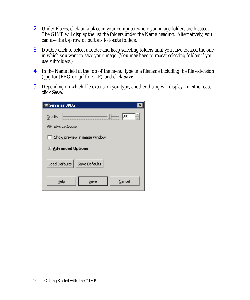- 2. Under Places, click on a place in your computer where you image folders are located. The GIMP will display the list the folders under the Name heading. Alternatively, you can use the top row of buttons to locate folders.
- 3. Double-click to select a folder and keep selecting folders until you have located the one in which you want to save your image. (You may have to repeat selecting folders if you use subfolders.)
- 4. In the Name field at the top of the menu, type in a filename including the file extension (.jpg for JPEG or .gif for GIF), and click **Save**.
- 5. Depending on which file extension you type, another dialog will display. In either case, click **Save**.

| <b>Save as JPEG</b>            |
|--------------------------------|
| —   185<br>Quality:            |
| File size: unknown             |
| Show preview in image window   |
| <b>E</b> Advanced Options      |
| Load Defaults<br>Save Defaults |
| Help<br>Cancel<br>Save         |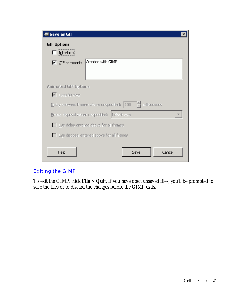| <b>Save as GIF</b><br>×                                      |
|--------------------------------------------------------------|
| <b>GIF Options</b>                                           |
| Interlace                                                    |
| Created with GIMP<br>$\overline{\triangledown}$ GIF comment: |
| <b>Animated GIF Options</b>                                  |
| ■ Loop forever                                               |
| Delay between frames where unspecified: 100 - 한 milliseconds |
| Frame disposal where unspecified: I don't care               |
| Use delay entered above for all frames                       |
| $\Box$ Use disposal entered above for all frames             |
| Help<br>Cancel<br>Save                                       |

#### Exiting the GIMP

To exit the GIMP, click **File** > **Quit**. If you have open unsaved files, you'll be prompted to save the files or to discard the changes before the GIMP exits.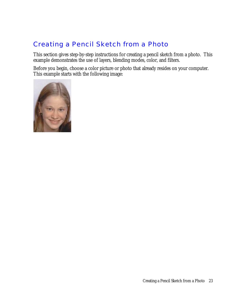## Creating a Pencil Sketch from a Photo

This section gives step-by-step instructions for creating a pencil sketch from a photo. This example demonstrates the use of layers, blending modes, color, and filters.

Before you begin, choose a color picture or photo that already resides on your computer. This example starts with the following image:

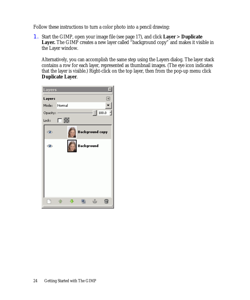Follow these instructions to turn a color photo into a pencil drawing:

1. Start the GIMP, open your image file (see page 17), and click **Layer** > **Duplicate**  Layer. The GIMP creates a new layer called "background copy" and makes it visible in the Layer window.

Alternatively, you can accomplish the same step using the Layers dialog. The layer stack contains a row for each layer, represented as thumbnail images. (The eye icon indicates that the layer is visible.) Right-click on the top layer, then from the pop-up menu click **Duplicate Layer**.

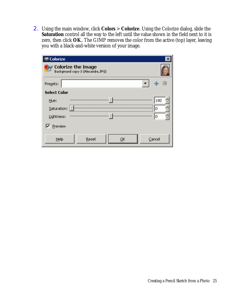2. Using the main window, click **Colors** > **Colorize**. Using the Colorize dialog, slide the **Saturation** control all the way to the left until the value shown in the field next to it is zero, then click **OK**.. The GIMP removes the color from the active (top) layer, leaving you with a black-and-white version of your image.

| <b>Colorize</b>     |                                                         |    |        |
|---------------------|---------------------------------------------------------|----|--------|
|                     | Colorize the Image<br>Background copy-3 (Alexandra JPG) |    |        |
| Presets:            |                                                         |    | lя     |
| <b>Select Color</b> |                                                         |    |        |
| Hue:                |                                                         |    | 180    |
| Saturation:         |                                                         |    | 0      |
| Lightness:          |                                                         |    | 0      |
| Preview             |                                                         |    |        |
| Help                | Reset                                                   | ОК | Cancel |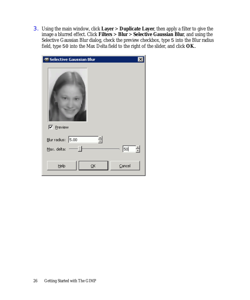3. Using the main window, click **Layer** > **Duplicate Layer**, then apply a filter to give the image a blurred effect. Click **Filters** > **Blur** > **Selective Gaussian Blur**, and using the Selective Gaussian Blur dialog, check the preview checkbox, type 5 into the Blur radius field, type 50 into the Max Delta field to the right of the slider, and click **OK**..

| <b>Selective Gaussian Blur</b>                         | × |
|--------------------------------------------------------|---|
| <b>▽</b> Preview                                       |   |
| $\underline{\mathsf{B}}$ lur radius: 5.00              |   |
| 50 <br>Max. delta:                                     | ۳ |
| Help<br>$\subseteq$ ancel<br>$\overline{\mathsf{g}}$ K |   |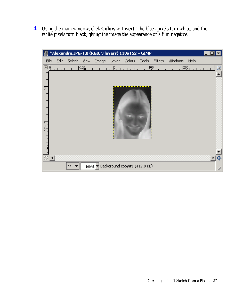4. Using the main window, click **Colors** > **Invert**. The black pixels turn white, and the white pixels turn black, giving the image the appearance of a film negative.

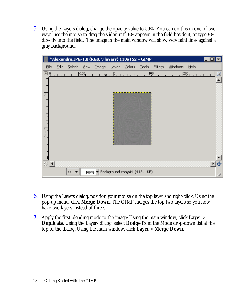5. Using the Layers dialog, change the opacity value to 50%. You can do this in one of two ways: use the mouse to drag the slider until 50 appears in the field beside it, or type 50 directly into the field. The image in the main window will show very faint lines against a gray background.

| *Alexandra.JPG-1.0 (RGB, 3 layers) 110x152 - GIMP |      |        |                     |                                     |       |                   |              |                  |         |         |   |
|---------------------------------------------------|------|--------|---------------------|-------------------------------------|-------|-------------------|--------------|------------------|---------|---------|---|
| Eile                                              | Edit | Select | <b>View</b>         | Image                               | Layer | $\subseteq$ olors | <b>Tools</b> | Filters          | Windows | Help    |   |
| ⊡գ                                                |      |        | $-100$ <sub>1</sub> |                                     | 10    |                   |              | 100 <sub>1</sub> |         | $200_1$ | ö |
|                                                   |      |        |                     |                                     |       |                   |              |                  |         |         |   |
|                                                   |      |        |                     |                                     |       |                   |              |                  |         |         |   |
| $\overline{0}$                                    |      |        |                     |                                     |       |                   |              |                  |         |         |   |
|                                                   |      |        |                     |                                     |       |                   |              |                  |         |         |   |
|                                                   |      |        |                     |                                     |       |                   |              |                  |         |         |   |
|                                                   |      |        |                     |                                     |       |                   |              |                  |         |         |   |
|                                                   |      |        |                     |                                     |       |                   |              |                  |         |         |   |
| $\begin{matrix} 1 \\ 0 \\ 0 \end{matrix}$         |      |        |                     |                                     |       |                   |              |                  |         |         |   |
|                                                   |      |        |                     |                                     |       |                   |              |                  |         |         |   |
|                                                   |      |        |                     |                                     |       |                   |              |                  |         |         |   |
|                                                   |      |        |                     |                                     |       |                   |              |                  |         |         |   |
| $\Box$ $\blacktriangleleft$                       |      |        |                     |                                     |       |                   |              |                  |         |         |   |
|                                                   |      | px     |                     | 100% v Background copy#1 (413.1 KB) |       |                   |              |                  |         |         |   |

- 6. Using the Layers dialog, position your mouse on the top layer and right-click. Using the pop-up menu, click **Merge Down**. The GIMP merges the top two layers so you now have two layers instead of three.
- 7. Apply the first blending mode to the image: Using the main window, click **Layer** > **Duplicate**. Using the Layers dialog, select **Dodge** from the Mode drop-down list at the top of the dialog. Using the main window, click **Layer** > **Merge Down.**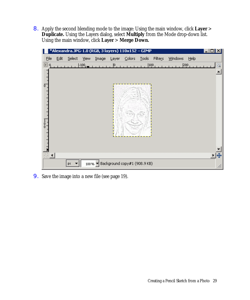8. Apply the second blending mode to the image: Using the main window, click **Layer** > **Duplicate.** Using the Layers dialog, select **Multiply** from the Mode drop-down list. Using the main window, click **Layer** > **Merge Down.** 

|               |      |        |        |       |       | *Alexandra.JPG-1.0 (RGB, 3 layers) 110x152 - GIMP |              |         |         |         | $\Box$ dixi               |
|---------------|------|--------|--------|-------|-------|---------------------------------------------------|--------------|---------|---------|---------|---------------------------|
| Eile          | Edit | Select | View   | Image | Layer | $\subseteq$ olors                                 | <b>Tools</b> | Filters | Windows | Help    |                           |
| ▣<br>Q,       |      |        | $-100$ |       | 10    |                                                   | $100_1$      |         |         | $200_1$ | $\langle \hat{Q} \rangle$ |
|               |      |        |        |       |       |                                                   |              |         |         |         |                           |
|               |      |        |        |       |       |                                                   |              |         |         |         |                           |
| ō             |      |        |        |       |       |                                                   |              |         |         |         |                           |
|               |      |        |        |       |       |                                                   |              |         |         |         |                           |
|               |      |        |        |       |       |                                                   |              |         |         |         |                           |
|               |      |        |        |       |       |                                                   |              |         |         |         |                           |
|               |      |        |        |       |       |                                                   |              |         |         |         |                           |
| $\frac{1}{0}$ |      |        |        |       |       |                                                   |              |         |         |         |                           |
|               |      |        |        |       |       |                                                   |              |         |         |         |                           |
|               |      |        |        |       |       |                                                   |              |         |         |         |                           |
|               |      |        |        |       |       |                                                   |              |         |         |         |                           |
| $(1 +$        |      |        |        |       |       |                                                   |              |         |         |         | 비표                        |
|               |      | px     |        |       |       | 100% v Background copy#1 (908.9 KB)               |              |         |         |         |                           |

9. Save the image into a new file (see page 19).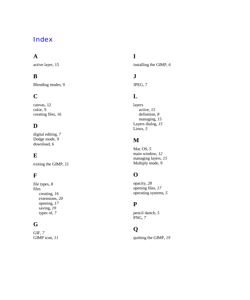## Index

## **A**

active layer, 15

#### **B**

Blending modes, 9

## **C**

canvas, 12 color, 9 creating files, 16

#### **D**

digital editing, *7* Dodge mode, 9 download, 6

## **E**

exiting the GIMP, 21

#### **F**

file types, *8* files creating, *16* extensions, *20* opening, *17* saving, *19* types of, *7*

## **G**

GIF, *7* GIMP icon, *11*

## **I**

installing the GIMP, *6*

## **J**

JPEG, *7*

#### **L**

layers active, *15* definition, *8* managing, *15* Layers dialog, *15* Linux, *5*

#### **M**

Mac OS, *5* main window, *12* managing layers, *15* Multiply mode, 9

## **O**

opacity, *28* opening files, *17* operating systems, *5*

#### **P**

pencil sketch, *5* PNG, *7*

## **Q**

quitting the GIMP, *19*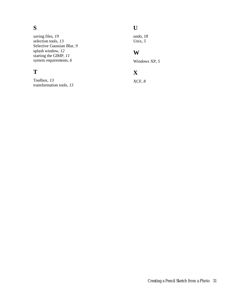## **S**

saving files, *19* selection tools, *13* Selective Gaussian Blur, *9* splash window, *12* starting the GIMP, *11* system requirements, *6*

## **T**

Toolbox, *13* transformation tools, *13*

## **U**

undo, *18* Unix, *5*

## **W**

Windows XP, *5*

## **X**

XCF, *8*